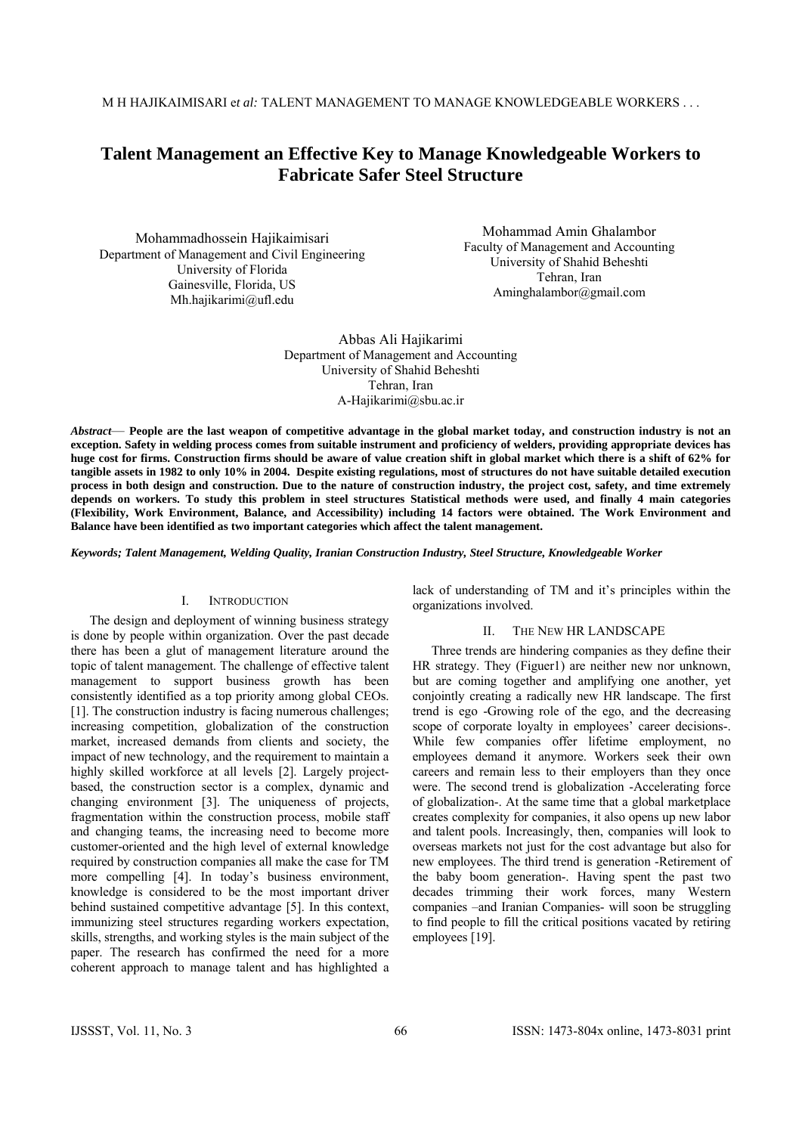M H HAJIKAIMISARI et al: TALENT MANAGEMENT TO MANAGE KNOWLEDGEABLE WORKERS

# **Talent Management an Effective Key to Manage Knowledgeable Workers to Fabricate Safer Steel Structure**

Mohammadhossein Hajikaimisari Department of Management and Civil Engineering University of Florida Gainesville, Florida, US Mh.hajikarimi@ufl.edu

Mohammad Amin Ghalambor Faculty of Management and Accounting University of Shahid Beheshti Tehran, Iran Aminghalambor@gmail.com

Abbas Ali Hajikarimi Department of Management and Accounting University of Shahid Beheshti Tehran, Iran A-Hajikarimi@sbu.ac.ir

*Abstract*— **People are the last weapon of competitive advantage in the global market today, and construction industry is not an exception. Safety in welding process comes from suitable instrument and proficiency of welders, providing appropriate devices has huge cost for firms. Construction firms should be aware of value creation shift in global market which there is a shift of 62% for tangible assets in 1982 to only 10% in 2004. Despite existing regulations, most of structures do not have suitable detailed execution process in both design and construction. Due to the nature of construction industry, the project cost, safety, and time extremely depends on workers. To study this problem in steel structures Statistical methods were used, and finally 4 main categories (Flexibility, Work Environment, Balance, and Accessibility) including 14 factors were obtained. The Work Environment and Balance have been identified as two important categories which affect the talent management.**

*Keywords; Talent Management, Welding Quality, Iranian Construction Industry, Steel Structure, Knowledgeable Worker* 

### I. INTRODUCTION

The design and deployment of winning business strategy is done by people within organization. Over the past decade there has been a glut of management literature around the topic of talent management. The challenge of effective talent management to support business growth has been consistently identified as a top priority among global CEOs. [1]. The construction industry is facing numerous challenges; increasing competition, globalization of the construction market, increased demands from clients and society, the impact of new technology, and the requirement to maintain a highly skilled workforce at all levels [2]. Largely projectbased, the construction sector is a complex, dynamic and changing environment [3]. The uniqueness of projects, fragmentation within the construction process, mobile staff and changing teams, the increasing need to become more customer-oriented and the high level of external knowledge required by construction companies all make the case for TM more compelling [4]. In today's business environment, knowledge is considered to be the most important driver behind sustained competitive advantage [5]. In this context, immunizing steel structures regarding workers expectation, skills, strengths, and working styles is the main subject of the paper. The research has confirmed the need for a more coherent approach to manage talent and has highlighted a

lack of understanding of TM and it's principles within the organizations involved.

### II. THE NEW HR LANDSCAPE

Three trends are hindering companies as they define their HR strategy. They (Figuer1) are neither new nor unknown, but are coming together and amplifying one another, yet conjointly creating a radically new HR landscape. The first trend is ego -Growing role of the ego, and the decreasing scope of corporate loyalty in employees' career decisions-. While few companies offer lifetime employment, no employees demand it anymore. Workers seek their own careers and remain less to their employers than they once were. The second trend is globalization -Accelerating force of globalization-. At the same time that a global marketplace creates complexity for companies, it also opens up new labor and talent pools. Increasingly, then, companies will look to overseas markets not just for the cost advantage but also for new employees. The third trend is generation -Retirement of the baby boom generation-. Having spent the past two decades trimming their work forces, many Western companies –and Iranian Companies- will soon be struggling to find people to fill the critical positions vacated by retiring employees [19].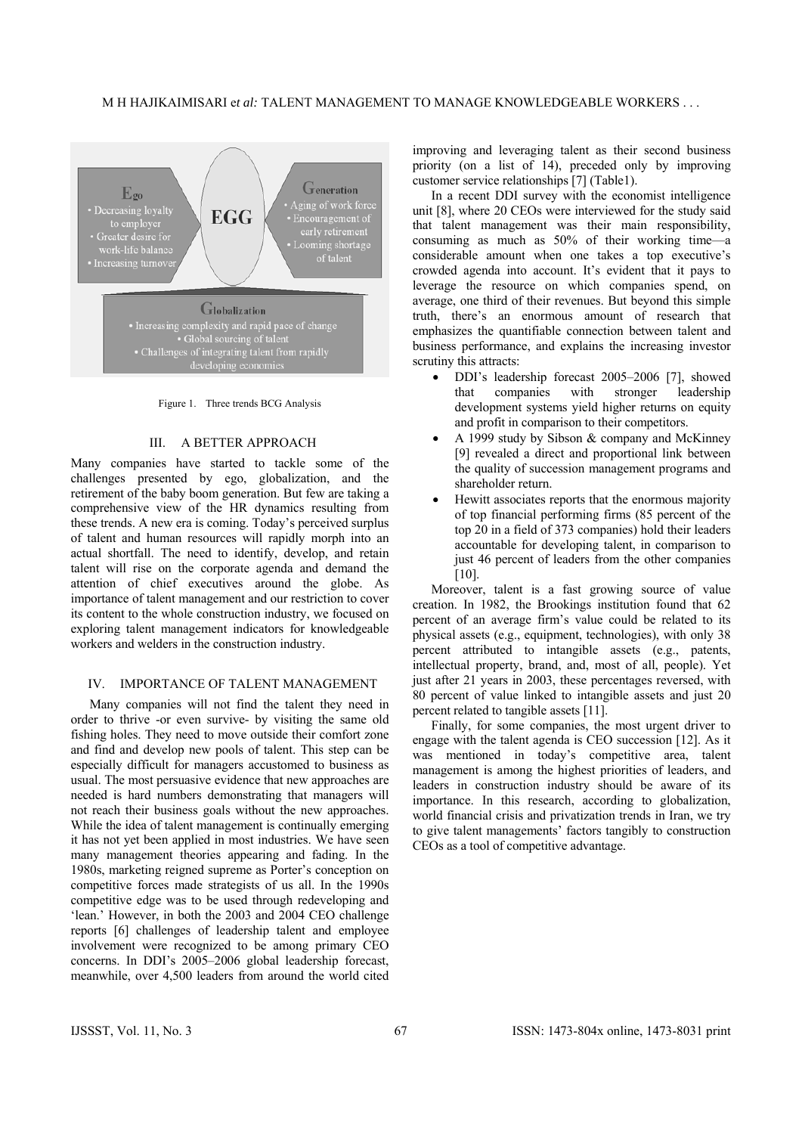

Figure 1. Three trends BCG Analysis

## III. A BETTER APPROACH

Many companies have started to tackle some of the challenges presented by ego, globalization, and the retirement of the baby boom generation. But few are taking a comprehensive view of the HR dynamics resulting from these trends. A new era is coming. Today's perceived surplus of talent and human resources will rapidly morph into an actual shortfall. The need to identify, develop, and retain talent will rise on the corporate agenda and demand the attention of chief executives around the globe. As importance of talent management and our restriction to cover its content to the whole construction industry, we focused on exploring talent management indicators for knowledgeable workers and welders in the construction industry.

### IV. IMPORTANCE OF TALENT MANAGEMENT

Many companies will not find the talent they need in order to thrive -or even survive- by visiting the same old fishing holes. They need to move outside their comfort zone and find and develop new pools of talent. This step can be especially difficult for managers accustomed to business as usual. The most persuasive evidence that new approaches are needed is hard numbers demonstrating that managers will not reach their business goals without the new approaches. While the idea of talent management is continually emerging it has not yet been applied in most industries. We have seen many management theories appearing and fading. In the 1980s, marketing reigned supreme as Porter's conception on competitive forces made strategists of us all. In the 1990s competitive edge was to be used through redeveloping and 'lean.' However, in both the 2003 and 2004 CEO challenge reports [6] challenges of leadership talent and employee involvement were recognized to be among primary CEO concerns. In DDI's 2005–2006 global leadership forecast, meanwhile, over 4,500 leaders from around the world cited

improving and leveraging talent as their second business priority (on a list of 14), preceded only by improving customer service relationships [7] (Table1).

In a recent DDI survey with the economist intelligence unit [8], where 20 CEOs were interviewed for the study said that talent management was their main responsibility, consuming as much as 50% of their working time—a considerable amount when one takes a top executive's crowded agenda into account. It's evident that it pays to leverage the resource on which companies spend, on average, one third of their revenues. But beyond this simple truth, there's an enormous amount of research that emphasizes the quantifiable connection between talent and business performance, and explains the increasing investor scrutiny this attracts:

- DDI's leadership forecast 2005–2006 [7], showed that companies with stronger leadership development systems yield higher returns on equity and profit in comparison to their competitors.
- A 1999 study by Sibson & company and McKinney [9] revealed a direct and proportional link between the quality of succession management programs and shareholder return.
- Hewitt associates reports that the enormous majority of top financial performing firms (85 percent of the top 20 in a field of 373 companies) hold their leaders accountable for developing talent, in comparison to just 46 percent of leaders from the other companies [10].

Moreover, talent is a fast growing source of value creation. In 1982, the Brookings institution found that 62 percent of an average firm's value could be related to its physical assets (e.g., equipment, technologies), with only 38 percent attributed to intangible assets (e.g., patents, intellectual property, brand, and, most of all, people). Yet just after 21 years in 2003, these percentages reversed, with 80 percent of value linked to intangible assets and just 20 percent related to tangible assets [11].

Finally, for some companies, the most urgent driver to engage with the talent agenda is CEO succession [12]. As it was mentioned in today's competitive area, talent management is among the highest priorities of leaders, and leaders in construction industry should be aware of its importance. In this research, according to globalization, world financial crisis and privatization trends in Iran, we try to give talent managements' factors tangibly to construction CEOs as a tool of competitive advantage.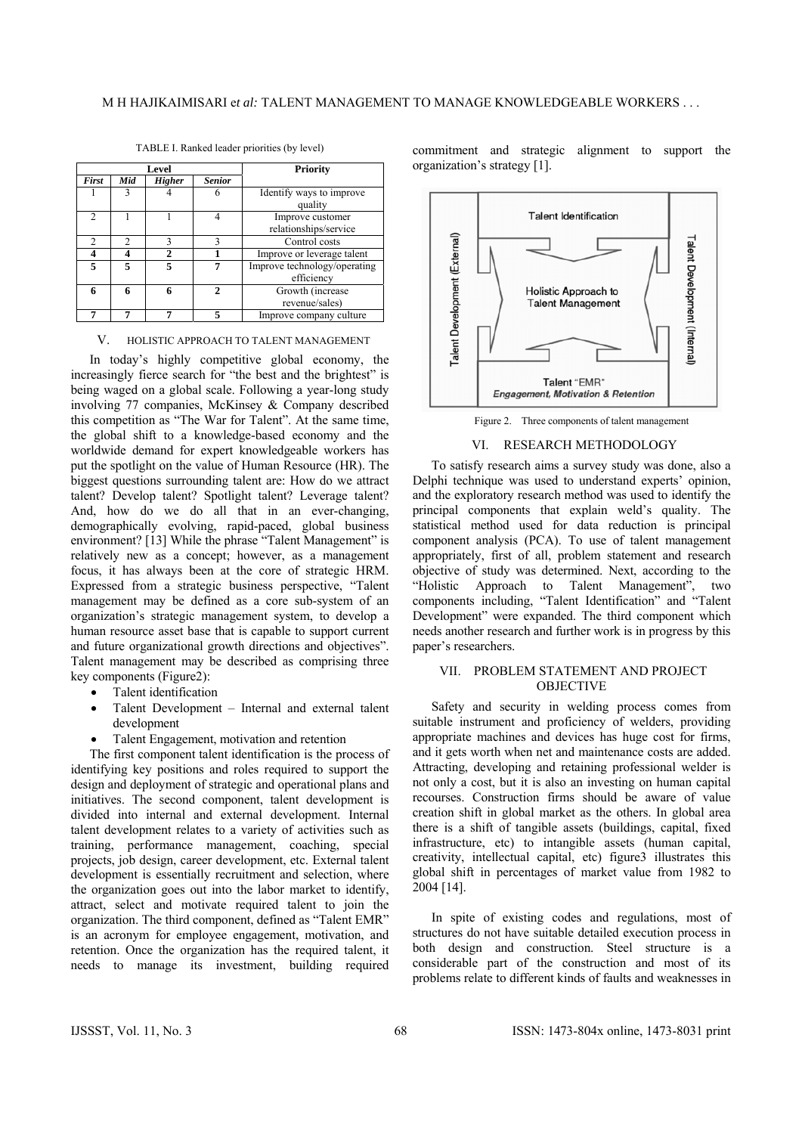| Level |     |              | <b>Priority</b> |                              |
|-------|-----|--------------|-----------------|------------------------------|
| First | Mid | Higher       | <b>Senior</b>   |                              |
|       | 3   |              |                 | Identify ways to improve     |
|       |     |              |                 | quality                      |
| 2     |     |              |                 | Improve customer             |
|       |     |              |                 | relationships/service        |
| ∍     | າ   |              |                 | Control costs                |
| 4     |     | $\mathbf{2}$ |                 | Improve or leverage talent   |
| 5     |     |              |                 | Improve technology/operating |
|       |     |              |                 | efficiency                   |
| 6     | 6   | 6            | າ               | Growth (increase             |
|       |     |              |                 | revenue/sales)               |
|       |     |              |                 | Improve company culture      |

TABLE I. Ranked leader priorities (by level)

#### V. HOLISTIC APPROACH TO TALENT MANAGEMENT

In today's highly competitive global economy, the increasingly fierce search for "the best and the brightest" is being waged on a global scale. Following a year-long study involving 77 companies, McKinsey & Company described this competition as "The War for Talent". At the same time, the global shift to a knowledge-based economy and the worldwide demand for expert knowledgeable workers has put the spotlight on the value of Human Resource (HR). The biggest questions surrounding talent are: How do we attract talent? Develop talent? Spotlight talent? Leverage talent? And, how do we do all that in an ever-changing, demographically evolving, rapid-paced, global business environment? [13] While the phrase "Talent Management" is relatively new as a concept; however, as a management focus, it has always been at the core of strategic HRM. Expressed from a strategic business perspective, "Talent management may be defined as a core sub-system of an organization's strategic management system, to develop a human resource asset base that is capable to support current and future organizational growth directions and objectives". Talent management may be described as comprising three key components (Figure2):

- Talent identification
- Talent Development Internal and external talent development
- Talent Engagement, motivation and retention

The first component talent identification is the process of identifying key positions and roles required to support the design and deployment of strategic and operational plans and initiatives. The second component, talent development is divided into internal and external development. Internal talent development relates to a variety of activities such as training, performance management, coaching, special projects, job design, career development, etc. External talent development is essentially recruitment and selection, where the organization goes out into the labor market to identify, attract, select and motivate required talent to join the organization. The third component, defined as "Talent EMR" is an acronym for employee engagement, motivation, and retention. Once the organization has the required talent, it needs to manage its investment, building required

commitment and strategic alignment to support the organization's strategy [1].



Figure 2. Three components of talent management

### VI. RESEARCH METHODOLOGY

To satisfy research aims a survey study was done, also a Delphi technique was used to understand experts' opinion, and the exploratory research method was used to identify the principal components that explain weld's quality. The statistical method used for data reduction is principal component analysis (PCA). To use of talent management appropriately, first of all, problem statement and research objective of study was determined. Next, according to the "Holistic Approach to Talent Management", two components including, "Talent Identification" and "Talent Development" were expanded. The third component which needs another research and further work is in progress by this paper's researchers.

# VII. PROBLEM STATEMENT AND PROJECT **OBJECTIVE**

Safety and security in welding process comes from suitable instrument and proficiency of welders, providing appropriate machines and devices has huge cost for firms, and it gets worth when net and maintenance costs are added. Attracting, developing and retaining professional welder is not only a cost, but it is also an investing on human capital recourses. Construction firms should be aware of value creation shift in global market as the others. In global area there is a shift of tangible assets (buildings, capital, fixed infrastructure, etc) to intangible assets (human capital, creativity, intellectual capital, etc) figure3 illustrates this global shift in percentages of market value from 1982 to 2004 [14].

In spite of existing codes and regulations, most of structures do not have suitable detailed execution process in both design and construction. Steel structure is a considerable part of the construction and most of its problems relate to different kinds of faults and weaknesses in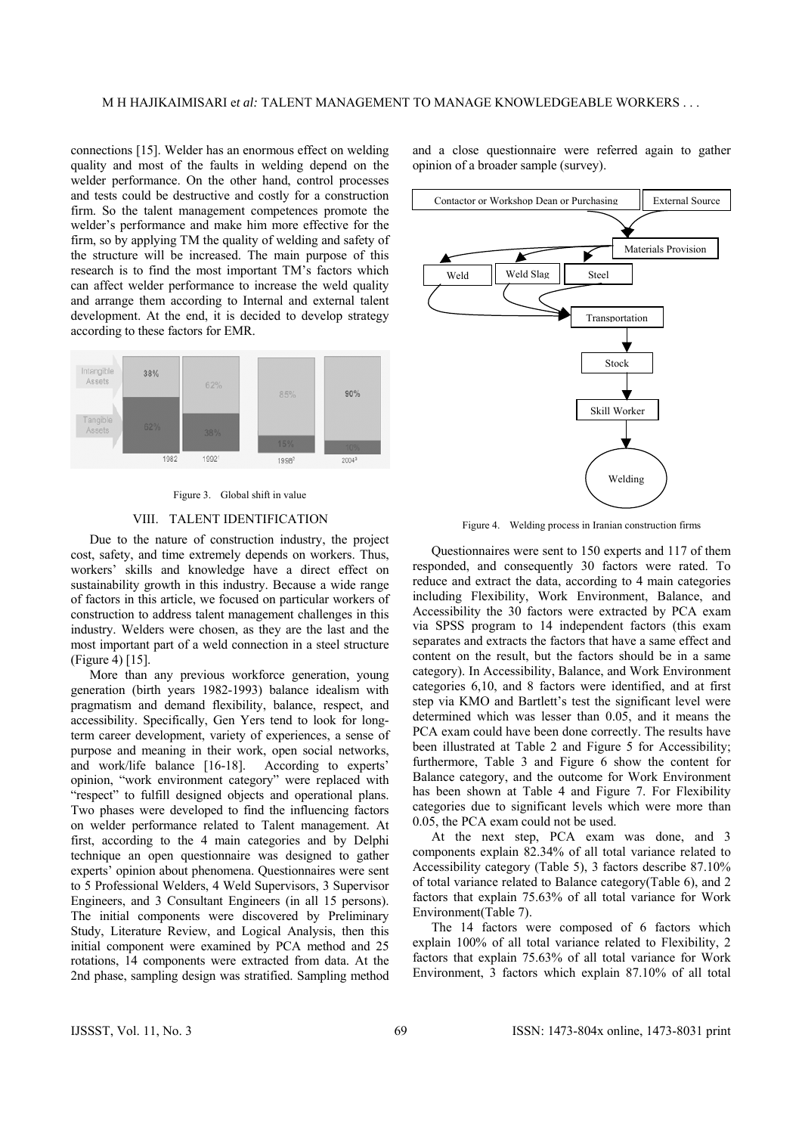connections [15]. Welder has an enormous effect on welding quality and most of the faults in welding depend on the welder performance. On the other hand, control processes and tests could be destructive and costly for a construction firm. So the talent management competences promote the welder's performance and make him more effective for the firm, so by applying TM the quality of welding and safety of the structure will be increased. The main purpose of this research is to find the most important TM's factors which can affect welder performance to increase the weld quality and arrange them according to Internal and external talent development. At the end, it is decided to develop strategy according to these factors for EMR.



### Figure 3. Global shift in value

#### VIII. TALENT IDENTIFICATION

Due to the nature of construction industry, the project cost, safety, and time extremely depends on workers. Thus, workers' skills and knowledge have a direct effect on sustainability growth in this industry. Because a wide range of factors in this article, we focused on particular workers of construction to address talent management challenges in this industry. Welders were chosen, as they are the last and the most important part of a weld connection in a steel structure (Figure 4) [15].

More than any previous workforce generation, young generation (birth years 1982-1993) balance idealism with pragmatism and demand flexibility, balance, respect, and accessibility. Specifically, Gen Yers tend to look for longterm career development, variety of experiences, a sense of purpose and meaning in their work, open social networks, and work/life balance [16-18]. According to experts' opinion, "work environment category" were replaced with "respect" to fulfill designed objects and operational plans. Two phases were developed to find the influencing factors on welder performance related to Talent management. At first, according to the 4 main categories and by Delphi technique an open questionnaire was designed to gather experts' opinion about phenomena. Questionnaires were sent to 5 Professional Welders, 4 Weld Supervisors, 3 Supervisor Engineers, and 3 Consultant Engineers (in all 15 persons). The initial components were discovered by Preliminary Study, Literature Review, and Logical Analysis, then this initial component were examined by PCA method and 25 rotations, 14 components were extracted from data. At the 2nd phase, sampling design was stratified. Sampling method

and a close questionnaire were referred again to gather opinion of a broader sample (survey).



Figure 4. Welding process in Iranian construction firms

Questionnaires were sent to 150 experts and 117 of them responded, and consequently 30 factors were rated. To reduce and extract the data, according to 4 main categories including Flexibility, Work Environment, Balance, and Accessibility the 30 factors were extracted by PCA exam via SPSS program to 14 independent factors (this exam separates and extracts the factors that have a same effect and content on the result, but the factors should be in a same category). In Accessibility, Balance, and Work Environment categories 6,10, and 8 factors were identified, and at first step via KMO and Bartlett's test the significant level were determined which was lesser than 0.05, and it means the PCA exam could have been done correctly. The results have been illustrated at Table 2 and Figure 5 for Accessibility; furthermore, Table 3 and Figure 6 show the content for Balance category, and the outcome for Work Environment has been shown at Table 4 and Figure 7. For Flexibility categories due to significant levels which were more than 0.05, the PCA exam could not be used.

At the next step, PCA exam was done, and 3 components explain 82.34% of all total variance related to Accessibility category (Table 5), 3 factors describe 87.10% of total variance related to Balance category(Table 6), and 2 factors that explain 75.63% of all total variance for Work Environment(Table 7).

The 14 factors were composed of 6 factors which explain 100% of all total variance related to Flexibility, 2 factors that explain 75.63% of all total variance for Work Environment, 3 factors which explain 87.10% of all total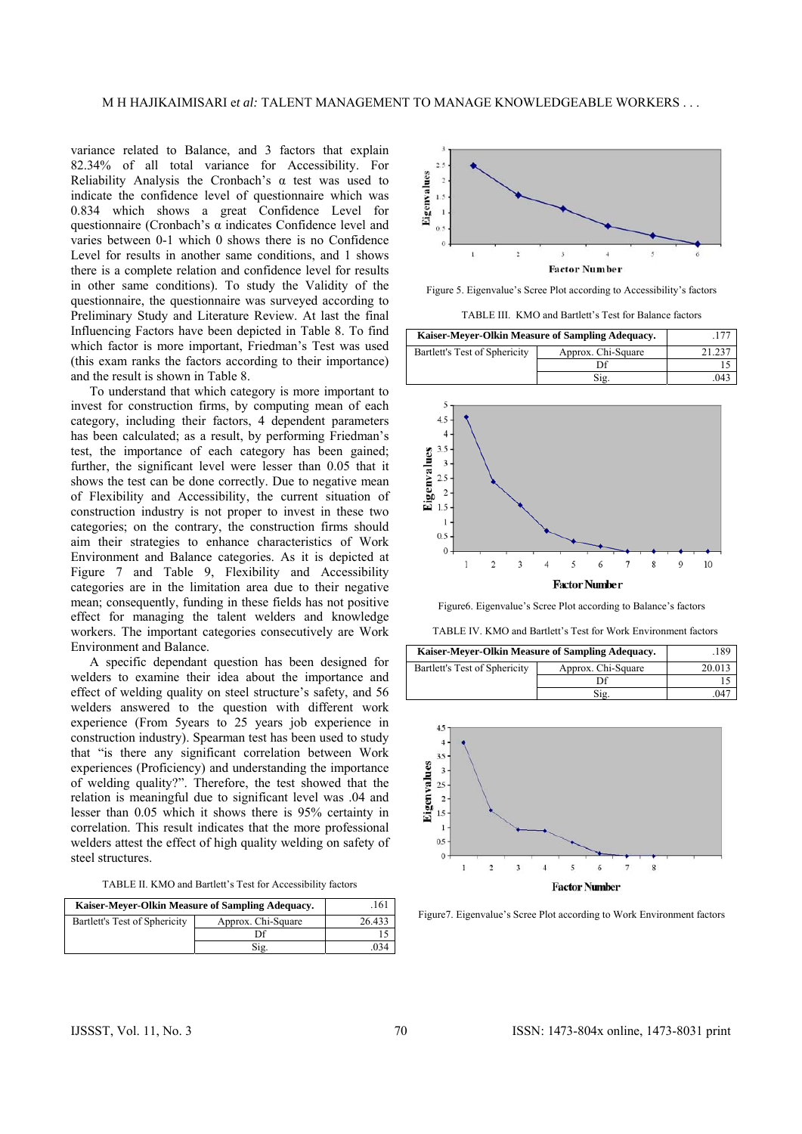variance related to Balance, and 3 factors that explain 82.34% of all total variance for Accessibility. For Reliability Analysis the Cronbach's  $\alpha$  test was used to indicate the confidence level of questionnaire which was 0.834 which shows a great Confidence Level for questionnaire (Cronbach's α indicates Confidence level and varies between 0-1 which 0 shows there is no Confidence Level for results in another same conditions, and 1 shows there is a complete relation and confidence level for results in other same conditions). To study the Validity of the questionnaire, the questionnaire was surveyed according to Preliminary Study and Literature Review. At last the final Influencing Factors have been depicted in Table 8. To find which factor is more important, Friedman's Test was used (this exam ranks the factors according to their importance) and the result is shown in Table 8.

To understand that which category is more important to invest for construction firms, by computing mean of each category, including their factors, 4 dependent parameters has been calculated; as a result, by performing Friedman's test, the importance of each category has been gained; further, the significant level were lesser than 0.05 that it shows the test can be done correctly. Due to negative mean of Flexibility and Accessibility, the current situation of construction industry is not proper to invest in these two categories; on the contrary, the construction firms should aim their strategies to enhance characteristics of Work Environment and Balance categories. As it is depicted at Figure 7 and Table 9, Flexibility and Accessibility categories are in the limitation area due to their negative mean; consequently, funding in these fields has not positive effect for managing the talent welders and knowledge workers. The important categories consecutively are Work Environment and Balance.

A specific dependant question has been designed for welders to examine their idea about the importance and effect of welding quality on steel structure's safety, and 56 welders answered to the question with different work experience (From 5years to 25 years job experience in construction industry). Spearman test has been used to study that "is there any significant correlation between Work experiences (Proficiency) and understanding the importance of welding quality?". Therefore, the test showed that the relation is meaningful due to significant level was .04 and lesser than 0.05 which it shows there is 95% certainty in correlation. This result indicates that the more professional welders attest the effect of high quality welding on safety of steel structures.

TABLE II. KMO and Bartlett's Test for Accessibility factors

| Kaiser-Meyer-Olkin Measure of Sampling Adequacy. | .161               |        |
|--------------------------------------------------|--------------------|--------|
| Bartlett's Test of Sphericity                    | Approx. Chi-Square | 26.433 |
|                                                  |                    |        |
|                                                  | Sig                | 034    |



Figure 5. Eigenvalue's Scree Plot according to Accessibility's factors

TABLE III. KMO and Bartlett's Test for Balance factors

| Kaiser-Mever-Olkin Measure of Sampling Adequacy. | .177               |            |
|--------------------------------------------------|--------------------|------------|
| Bartlett's Test of Sphericity                    | Approx. Chi-Square | .237<br>21 |
|                                                  |                    |            |
|                                                  | Sig                | .043       |



Figure6. Eigenvalue's Scree Plot according to Balance's factors

TABLE IV. KMO and Bartlett's Test for Work Environment factors

| Kaiser-Mever-Olkin Measure of Sampling Adequacy. | 189                |              |
|--------------------------------------------------|--------------------|--------------|
| Bartlett's Test of Sphericity                    | Approx. Chi-Square | 20.013       |
|                                                  |                    |              |
|                                                  | 512                | $04^{\circ}$ |



Figure7. Eigenvalue's Scree Plot according to Work Environment factors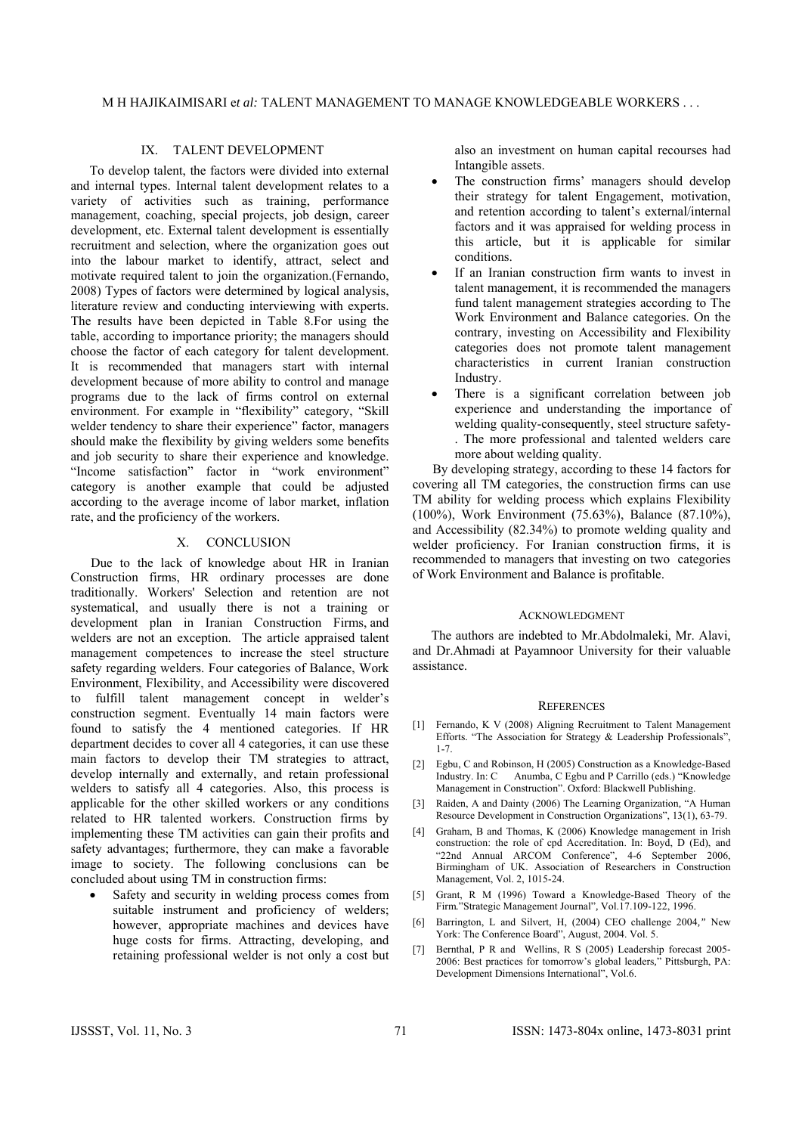### IX. TALENT DEVELOPMENT

To develop talent, the factors were divided into external and internal types. Internal talent development relates to a variety of activities such as training, performance management, coaching, special projects, job design, career development, etc. External talent development is essentially recruitment and selection, where the organization goes out into the labour market to identify, attract, select and motivate required talent to join the organization.(Fernando, 2008) Types of factors were determined by logical analysis, literature review and conducting interviewing with experts. The results have been depicted in Table 8.For using the table, according to importance priority; the managers should choose the factor of each category for talent development. It is recommended that managers start with internal development because of more ability to control and manage programs due to the lack of firms control on external environment. For example in "flexibility" category, "Skill welder tendency to share their experience" factor, managers should make the flexibility by giving welders some benefits and job security to share their experience and knowledge. "Income satisfaction" factor in "work environment" category is another example that could be adjusted according to the average income of labor market, inflation rate, and the proficiency of the workers.

### X. CONCLUSION

Due to the lack of knowledge about HR in Iranian Construction firms, HR ordinary processes are done traditionally. Workers' Selection and retention are not systematical, and usually there is not a training or development plan in Iranian Construction Firms, and welders are not an exception. The article appraised talent management competences to increase the steel structure safety regarding welders. Four categories of Balance, Work Environment, Flexibility, and Accessibility were discovered to fulfill talent management concept in welder's construction segment. Eventually 14 main factors were found to satisfy the 4 mentioned categories. If HR department decides to cover all 4 categories, it can use these main factors to develop their TM strategies to attract, develop internally and externally, and retain professional welders to satisfy all 4 categories. Also, this process is applicable for the other skilled workers or any conditions related to HR talented workers. Construction firms by implementing these TM activities can gain their profits and safety advantages; furthermore, they can make a favorable image to society. The following conclusions can be concluded about using TM in construction firms:

 Safety and security in welding process comes from suitable instrument and proficiency of welders; however, appropriate machines and devices have huge costs for firms. Attracting, developing, and retaining professional welder is not only a cost but also an investment on human capital recourses had Intangible assets.

- The construction firms' managers should develop their strategy for talent Engagement, motivation, and retention according to talent's external/internal factors and it was appraised for welding process in this article, but it is applicable for similar conditions.
- If an Iranian construction firm wants to invest in talent management, it is recommended the managers fund talent management strategies according to The Work Environment and Balance categories. On the contrary, investing on Accessibility and Flexibility categories does not promote talent management characteristics in current Iranian construction Industry.
- There is a significant correlation between job experience and understanding the importance of welding quality-consequently, steel structure safety- . The more professional and talented welders care more about welding quality.

By developing strategy, according to these 14 factors for covering all TM categories, the construction firms can use TM ability for welding process which explains Flexibility (100%), Work Environment (75.63%), Balance (87.10%), and Accessibility (82.34%) to promote welding quality and welder proficiency. For Iranian construction firms, it is recommended to managers that investing on two categories of Work Environment and Balance is profitable.

#### ACKNOWLEDGMENT

The authors are indebted to Mr.Abdolmaleki, Mr. Alavi, and Dr.Ahmadi at Payamnoor University for their valuable assistance.

#### **REFERENCES**

- [1] Fernando, K V (2008) Aligning Recruitment to Talent Management Efforts. "The Association for Strategy & Leadership Professionals", 1-7.
- [2] Egbu, C and Robinson, H (2005) Construction as a Knowledge-Based Industry. In: C Anumba, C Egbu and P Carrillo (eds.) "Knowledge Management in Construction". Oxford: Blackwell Publishing.
- [3] Raiden, A and Dainty (2006) The Learning Organization*,* "A Human Resource Development in Construction Organizations", 13(1), 63-79.
- [4] Graham, B and Thomas, K (2006) Knowledge management in Irish construction: the role of cpd Accreditation. In: Boyd, D (Ed), and "22nd Annual ARCOM Conference"*,* 4-6 September 2006, Birmingham of UK. Association of Researchers in Construction Management, Vol. 2, 1015-24.
- [5] Grant, R M (1996) Toward a Knowledge-Based Theory of the Firm*.*"Strategic Management Journal"*,* Vol.17.109-122, 1996.
- [6] Barrington, L and Silvert, H, (2004) CEO challenge 2004*,"* New York: The Conference Board", August, 2004. Vol. 5.
- [7] Bernthal, P R and Wellins, R S (2005) Leadership forecast 2005- 2006: Best practices for tomorrow's global leaders*,*" Pittsburgh, PA: Development Dimensions International", Vol.6.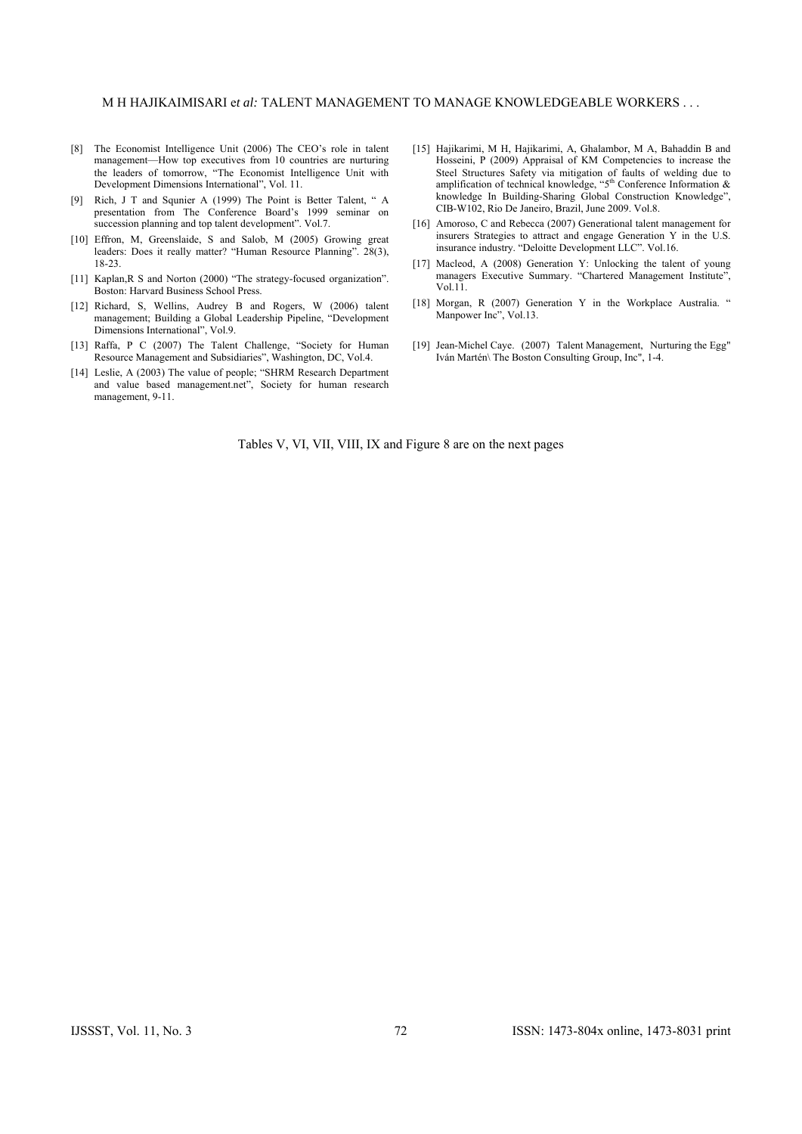- [8] The Economist Intelligence Unit (2006) The CEO's role in talent management—How top executives from 10 countries are nurturing the leaders of tomorrow, "The Economist Intelligence Unit with Development Dimensions International", Vol. 11.
- [9] Rich, J T and Squnier A (1999) The Point is Better Talent, " A presentation from The Conference Board's 1999 seminar on succession planning and top talent development". Vol.7.
- [10] Effron, M, Greenslaide, S and Salob, M (2005) Growing great leaders: Does it really matter? "Human Resource Planning". 28(3), 18-23.
- [11] Kaplan,R S and Norton (2000) "The strategy-focused organization". Boston: Harvard Business School Press.
- [12] Richard, S, Wellins, Audrey B and Rogers, W (2006) talent management; Building a Global Leadership Pipeline, "Development Dimensions International", Vol.9.
- [13] Raffa, P C (2007) The Talent Challenge, "Society for Human Resource Management and Subsidiaries", Washington, DC, Vol.4.
- [14] Leslie, A (2003) The value of people; "SHRM Research Department and value based management.net", Society for human research management, 9-11.
- [15] Hajikarimi, M H, Hajikarimi, A, Ghalambor, M A, Bahaddin B and Hosseini, P (2009) Appraisal of KM Competencies to increase the Steel Structures Safety via mitigation of faults of welding due to amplification of technical knowledge, "5<sup>th</sup> Conference Information & knowledge In Building-Sharing Global Construction Knowledge", CIB-W102, Rio De Janeiro, Brazil, June 2009. Vol.8.
- [16] Amoroso, C and Rebecca (2007) Generational talent management for insurers Strategies to attract and engage Generation Y in the U.S. insurance industry. "Deloitte Development LLC". Vol.16.
- [17] Macleod, A (2008) Generation Y: Unlocking the talent of young managers Executive Summary. "Chartered Management Institute",  $Vol.11$ .
- [18] Morgan, R (2007) Generation Y in the Workplace Australia. " Manpower Inc", Vol.13.
- [19] Jean-Michel Caye. (2007) Talent Management, Nurturing the Egg" Iván Martén\ The Boston Consulting Group, Inc", 1-4.

Tables V, VI, VII, VIII, IX and Figure 8 are on the next pages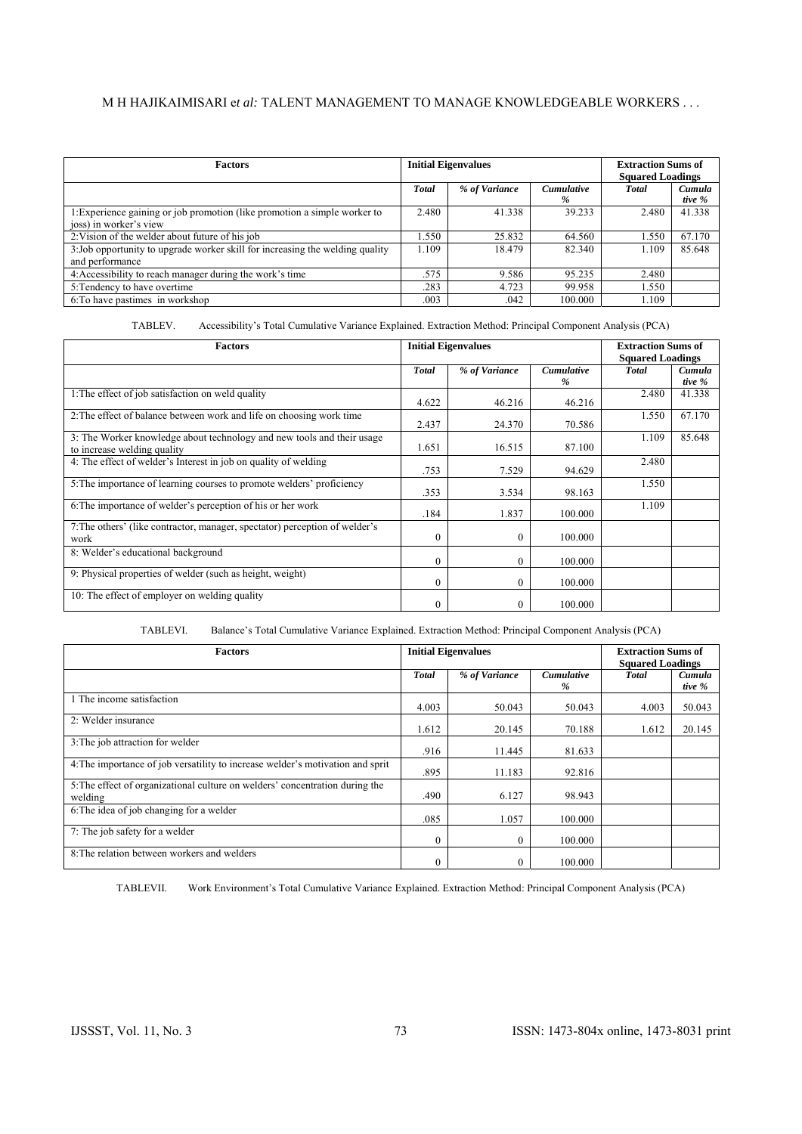# M H HAJIKAIMISARI e*t al:* TALENT MANAGEMENT TO MANAGE KNOWLEDGEABLE WORKERS . . .

| <b>Factors</b>                                                                |              | <b>Initial Eigenvalues</b> |                   |              | <b>Extraction Sums of</b><br><b>Squared Loadings</b> |  |
|-------------------------------------------------------------------------------|--------------|----------------------------|-------------------|--------------|------------------------------------------------------|--|
|                                                                               | <b>Total</b> | % of Variance              | <b>Cumulative</b> | <b>Total</b> | Cumula                                               |  |
|                                                                               |              |                            | $\%$              |              | tive %                                               |  |
| 1: Experience gaining or job promotion (like promotion a simple worker to     | 2.480        | 41.338                     | 39.233            | 2.480        | 41.338                                               |  |
| joss) in worker's view                                                        |              |                            |                   |              |                                                      |  |
| 2: Vision of the welder about future of his job                               | .550         | 25.832                     | 64.560            | 1.550        | 67.170                                               |  |
| 3: Job opportunity to upgrade worker skill for increasing the welding quality | 1.109        | 18.479                     | 82.340            | 1.109        | 85.648                                               |  |
| and performance                                                               |              |                            |                   |              |                                                      |  |
| 4: Accessibility to reach manager during the work's time                      | .575         | 9.586                      | 95.235            | 2.480        |                                                      |  |
| 5: Tendency to have overtime                                                  | .283         | 4.723                      | 99.958            | 1.550        |                                                      |  |
| 6: To have pastimes in workshop                                               | .003         | .042                       | 100.000           | 1.109        |                                                      |  |

TABLEV. Accessibility's Total Cumulative Variance Explained. Extraction Method: Principal Component Analysis (PCA)

| <b>Factors</b>                                                                                        |              | <b>Initial Eigenvalues</b> | <b>Extraction Sums of</b><br><b>Squared Loadings</b> |              |                  |
|-------------------------------------------------------------------------------------------------------|--------------|----------------------------|------------------------------------------------------|--------------|------------------|
|                                                                                                       | <b>Total</b> | % of Variance              | Cumulative<br>%                                      | <b>Total</b> | Cumula<br>tive % |
| 1: The effect of job satisfaction on weld quality                                                     | 4.622        | 46.216                     | 46.216                                               | 2.480        | 41.338           |
| 2: The effect of balance between work and life on choosing work time                                  | 2.437        | 24.370                     | 70.586                                               | 1.550        | 67.170           |
| 3: The Worker knowledge about technology and new tools and their usage<br>to increase welding quality | 1.651        | 16.515                     | 87.100                                               | 1.109        | 85.648           |
| 4: The effect of welder's Interest in job on quality of welding                                       | .753         | 7.529                      | 94.629                                               | 2.480        |                  |
| 5: The importance of learning courses to promote welders' proficiency                                 | .353         | 3.534                      | 98.163                                               | 1.550        |                  |
| 6: The importance of welder's perception of his or her work                                           | .184         | 1.837                      | 100.000                                              | 1.109        |                  |
| 7: The others' (like contractor, manager, spectator) perception of welder's<br>work                   | $\mathbf{0}$ | $\Omega$                   | 100.000                                              |              |                  |
| 8: Welder's educational background                                                                    | $\Omega$     | $\mathbf{0}$               | 100.000                                              |              |                  |
| 9: Physical properties of welder (such as height, weight)                                             | $\theta$     | $\mathbf{0}$               | 100.000                                              |              |                  |
| 10: The effect of employer on welding quality                                                         | $\Omega$     | $\Omega$                   | 100.000                                              |              |                  |

TABLEVI. Balance's Total Cumulative Variance Explained. Extraction Method: Principal Component Analysis (PCA)

| <b>Factors</b>                                                                          |              | <b>Initial Eigenvalues</b> |                 |              | <b>Extraction Sums of</b><br><b>Squared Loadings</b> |  |
|-----------------------------------------------------------------------------------------|--------------|----------------------------|-----------------|--------------|------------------------------------------------------|--|
|                                                                                         | <b>Total</b> | % of Variance              | Cumulative<br>% | <b>Total</b> | Cumula<br>tive %                                     |  |
| 1 The income satisfaction                                                               | 4.003        | 50.043                     | 50.043          | 4.003        | 50.043                                               |  |
| 2: Welder insurance                                                                     | 1.612        | 20.145                     | 70.188          | 1.612        | 20.145                                               |  |
| 3: The job attraction for welder                                                        | .916         | 11.445                     | 81.633          |              |                                                      |  |
| 4: The importance of job versatility to increase welder's motivation and sprit          | .895         | 11.183                     | 92.816          |              |                                                      |  |
| 5. The effect of organizational culture on welders' concentration during the<br>welding | .490         | 6.127                      | 98.943          |              |                                                      |  |
| 6: The idea of job changing for a welder                                                | .085         | 1.057                      | 100.000         |              |                                                      |  |
| 7: The job safety for a welder                                                          | $\mathbf{0}$ | $\mathbf{0}$               | 100.000         |              |                                                      |  |
| 8: The relation between workers and welders                                             | $\Omega$     | $\mathbf{0}$               | 100.000         |              |                                                      |  |

TABLEVII. Work Environment's Total Cumulative Variance Explained. Extraction Method: Principal Component Analysis (PCA)